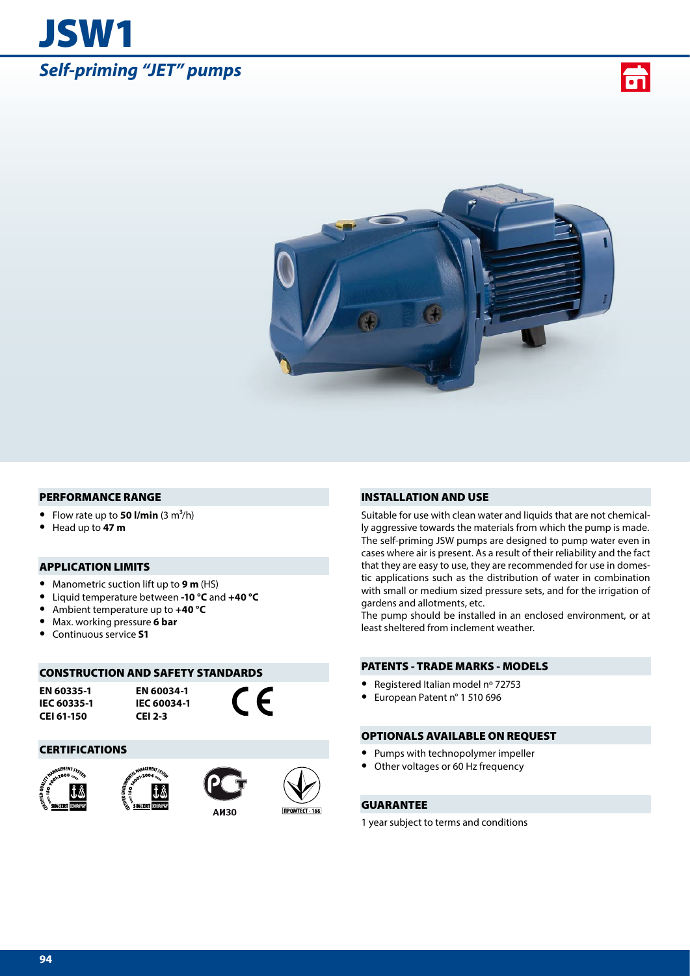# JSW1 *Self-priming "JET" pumps*





#### PERFORMANCE RANGE

- Flow rate up to **50 l/min**  $(3 \text{ m}^3/\text{h})$
- **•** Head up to **47 m**

### APPLICATION LIMITS

- **•** Manometric suction lift up to **9 m** (HS)
- **•** Liquid temperature between **-10 °C** and **+40 °C**
- **•** Ambient temperature up to **+40 °C**
- **•** Max. working pressure **6 bar**
- **•** Continuous service **S1**

#### CONSTRUCTION AND SAFETY STANDARDS

**EN 60335-1 IEC 60335-1 CEI 61-150**

**EN 60034-1 IEC 60034-1 CEI 2-3**

 $\epsilon$ 

#### CERTIFICATIONS









#### INSTALLATION AND USE

Suitable for use with clean water and liquids that are not chemically aggressive towards the materials from which the pump is made. The self-priming JSW pumps are designed to pump water even in cases where air is present. As a result of their reliability and the fact that they are easy to use, they are recommended for use in domestic applications such as the distribution of water in combination with small or medium sized pressure sets, and for the irrigation of gardens and allotments, etc.

The pump should be installed in an enclosed environment, or at least sheltered from inclement weather.

## PATENTS - TRADE MARKS - MODELS

- **•** Registered Italian model nº 72753
- **•** European Patent n° 1 510 696

#### OPTIONALS AVAILABLE ON REQUEST

- **•** Pumps with technopolymer impeller
- **•** Other voltages or 60 Hz frequency

## GUARANTEE

1 year subject to terms and conditions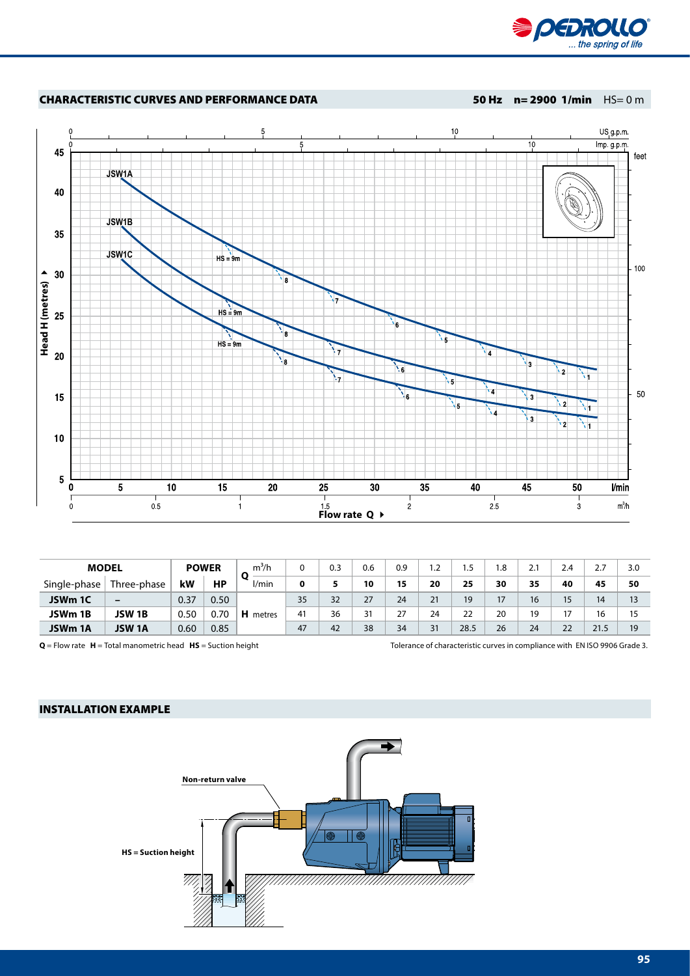

#### CHARACTERISTIC CURVES AND PERFORMANCE DATA 50 Hz n= 2900 1/min HS= 0 m



| <b>MODEL</b> |                          | <b>POWER</b> |      | $m^3/h$         | 0           | 0.3 | 0.6 | 0.9 | 1.2 |      | ୍ରଦ<br>ن. | 2.1 | 2.4   | ٬,   | 3.0 |
|--------------|--------------------------|--------------|------|-----------------|-------------|-----|-----|-----|-----|------|-----------|-----|-------|------|-----|
| Single-phase | Three-phase              | kW           | НP   | l/min           | $\mathbf 0$ | 5   | 10  | 15  | 20  | 25   | 30        | 35  | 40    | 45   | 50  |
| JSWm 1C      | $\overline{\phantom{0}}$ | 0.37         | 0.50 |                 | 35          | 32  | 27  | 24  | 21  | 19   | 17        | 16  | 15    | 14   | 13  |
| JSWm 1B      | JSW 1B                   | 0.50         | 0.70 | <b>H</b> metres | 41          | 36  | 31  | 27  | 24  | 22   | 20        | 19  | $1 -$ |      |     |
| JSWm 1A      | JSW 1A                   | 0.60         | 0.85 |                 | 47          | 42  | 38  | 34  | 31  | 28.5 | 26        | 24  | 22    | 21.5 | 19  |

**Q** = Flow rate **H** = Total manometric head **HS** = Suction height Tolerance of characteristic curves in compliance with EN ISO 9906 Grade 3.

#### INSTALLATION EXAMPLE

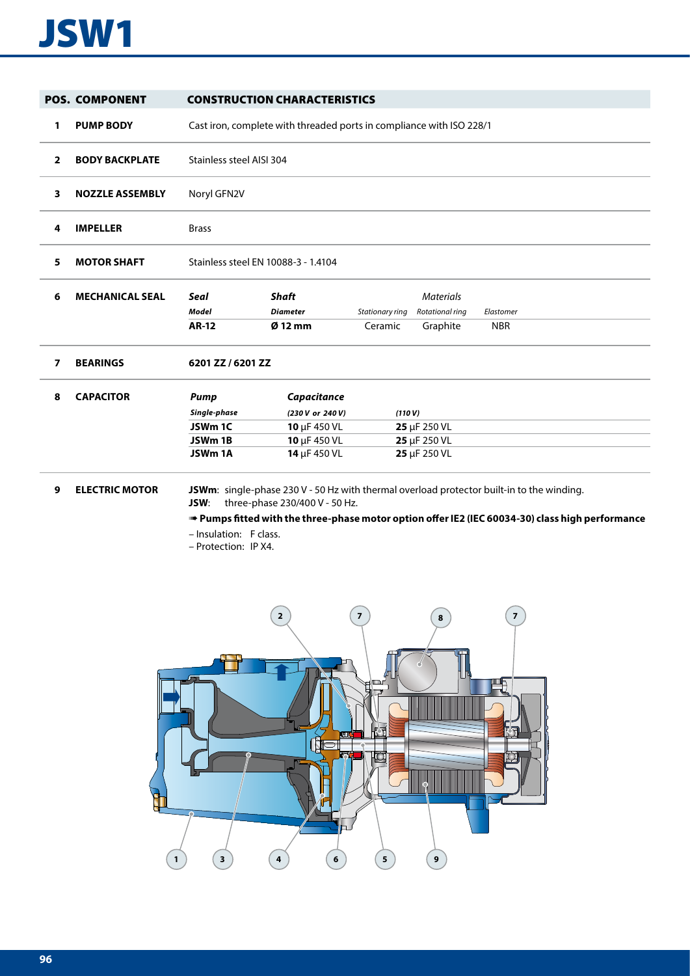# JSW1

|                | <b>POS. COMPONENT</b>  |                                                                  | <b>CONSTRUCTION CHARACTERISTICS</b>                                             |                            |                                                 |                                                                                                                                                                                             |  |  |  |  |  |  |
|----------------|------------------------|------------------------------------------------------------------|---------------------------------------------------------------------------------|----------------------------|-------------------------------------------------|---------------------------------------------------------------------------------------------------------------------------------------------------------------------------------------------|--|--|--|--|--|--|
| 1              | <b>PUMP BODY</b>       |                                                                  | Cast iron, complete with threaded ports in compliance with ISO 228/1            |                            |                                                 |                                                                                                                                                                                             |  |  |  |  |  |  |
| $\overline{2}$ | <b>BODY BACKPLATE</b>  |                                                                  | Stainless steel AISI 304                                                        |                            |                                                 |                                                                                                                                                                                             |  |  |  |  |  |  |
| 3              | <b>NOZZLE ASSEMBLY</b> | Noryl GFN2V                                                      |                                                                                 |                            |                                                 |                                                                                                                                                                                             |  |  |  |  |  |  |
| 4              | <b>IMPELLER</b>        | <b>Brass</b>                                                     |                                                                                 |                            |                                                 |                                                                                                                                                                                             |  |  |  |  |  |  |
| 5              | <b>MOTOR SHAFT</b>     | Stainless steel EN 10088-3 - 1.4104                              |                                                                                 |                            |                                                 |                                                                                                                                                                                             |  |  |  |  |  |  |
| 6              | <b>MECHANICAL SEAL</b> | <b>Seal</b><br>Model<br><b>AR-12</b>                             | <b>Shaft</b><br><b>Diameter</b><br>$Ø$ 12 mm                                    | Stationary ring<br>Ceramic | <b>Materials</b><br>Rotational ring<br>Graphite | Elastomer<br><b>NBR</b>                                                                                                                                                                     |  |  |  |  |  |  |
| 7              | <b>BEARINGS</b>        | 6201 ZZ / 6201 ZZ                                                |                                                                                 |                            |                                                 |                                                                                                                                                                                             |  |  |  |  |  |  |
| 8              | <b>CAPACITOR</b>       | Pump<br>Single-phase<br>JSWm <sub>1C</sub><br>JSWm 1B<br>JSWm 1A | Capacitance<br>(230 V or 240 V)<br>10 µF 450 VL<br>10 µF 450 VL<br>14 µF 450 VL | (110 V)                    | 25 µF 250 VL<br>25 µF 250 VL<br>25 µF 250 VL    |                                                                                                                                                                                             |  |  |  |  |  |  |
| 9              | <b>ELECTRIC MOTOR</b>  | JSW:<br>- Insulation: F class.                                   | three-phase 230/400 V - 50 Hz.                                                  |                            |                                                 | JSWm: single-phase 230 V - 50 Hz with thermal overload protector built-in to the winding.<br>Pumps fitted with the three-phase motor option offer IE2 (IEC 60034-30) class high performance |  |  |  |  |  |  |

– Protection: IP X4.